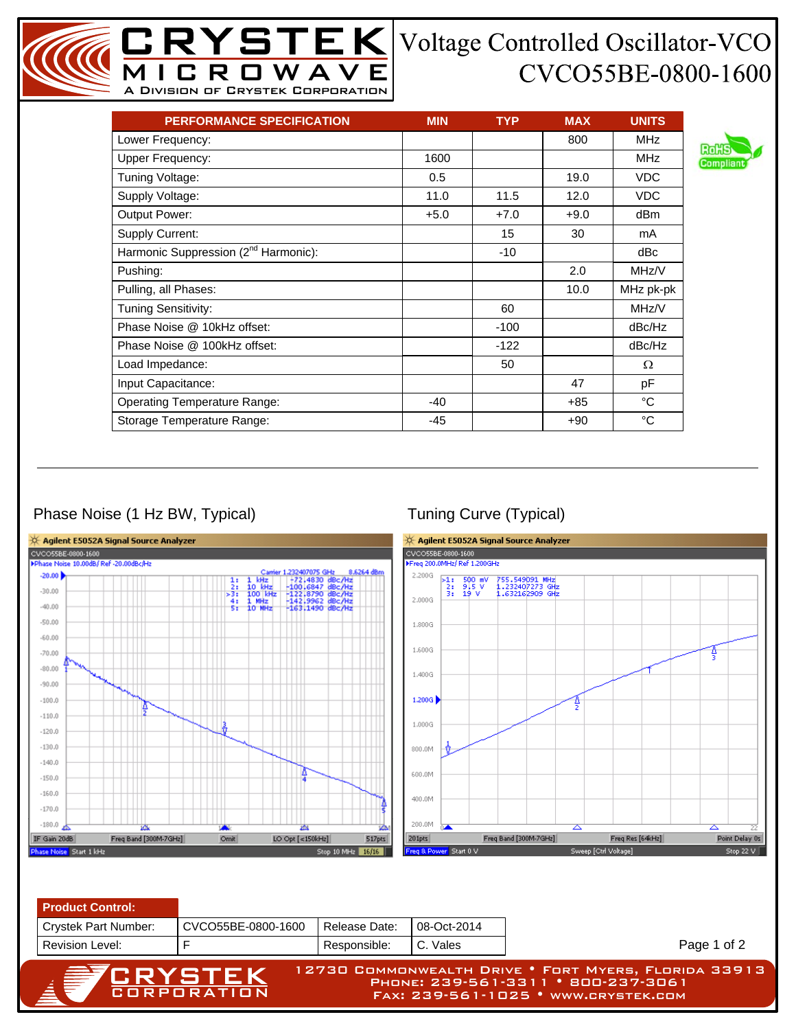## CVCO55BE-0800-1600

| <b>PERFORMANCE SPECIFICATION</b>                 | <b>MIN</b> | <b>TYP</b> | <b>MAX</b> | <b>UNITS</b> |
|--------------------------------------------------|------------|------------|------------|--------------|
| Lower Frequency:                                 |            |            | 800        | <b>MHz</b>   |
| <b>Upper Frequency:</b>                          | 1600       |            |            | <b>MHz</b>   |
| Tuning Voltage:                                  | 0.5        |            | 19.0       | <b>VDC</b>   |
| Supply Voltage:                                  | 11.0       | 11.5       | 12.0       | <b>VDC</b>   |
| Output Power:                                    | $+5.0$     | $+7.0$     | $+9.0$     | dBm          |
| Supply Current:                                  |            | 15         | 30         | mA           |
| Harmonic Suppression (2 <sup>nd</sup> Harmonic): |            | $-10$      |            | dBc          |
| Pushing:                                         |            |            | 2.0        | MHz/V        |
| Pulling, all Phases:                             |            |            | 10.0       | MHz pk-pk    |
| <b>Tuning Sensitivity:</b>                       |            | 60         |            | MHz/V        |
| Phase Noise @ 10kHz offset:                      |            | $-100$     |            | dBc/Hz       |
| Phase Noise @ 100kHz offset:                     |            | $-122$     |            | dBc/Hz       |
| Load Impedance:                                  |            | 50         |            | Ω            |
| Input Capacitance:                               |            |            | 47         | pF           |
| <b>Operating Temperature Range:</b>              | -40        |            | +85        | °C           |
| Storage Temperature Range:                       | -45        |            | $+90$      | $^{\circ}C$  |

MICROWAVE A Division of Crystek Corporation

## Phase Noise (1 Hz BW, Typical) Tuning Curve (Typical)